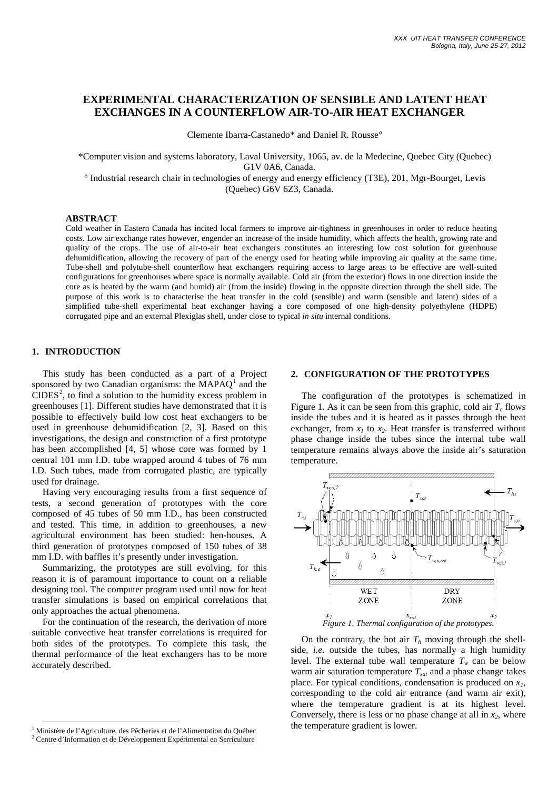# **EXPERIMENTAL CHARACTERIZATION OF SENSIBLE AND LATENT HEAT EXCHANGES IN A COUNTERFLOW AIR-TO-AIR HEAT EXCHANGER**

Clemente Ibarra-Castanedo\* and Daniel R. Rousse°

\*Computer vision and systems laboratory, Laval University, 1065, av. de la Medecine, Quebec City (Quebec) G1V 0A6, Canada.

° Industrial research chair in technologies of energy and energy efficiency (T3E), 201, Mgr-Bourget, Levis (Quebec) G6V 6Z3, Canada.

## **ABSTRACT**

Cold weather in Eastern Canada has incited local farmers to improve air-tightness in greenhouses in order to reduce heating costs. Low air exchange rates however, engender an increase of the inside humidity, which affects the health, growing rate and quality of the crops. The use of air-to-air heat exchangers constitutes an interesting low cost solution for greenhouse dehumidification, allowing the recovery of part of the energy used for heating while improving air quality at the same time. Tube-shell and polytube-shell counterflow heat exchangers requiring access to large areas to be effective are well-suited configurations for greenhouses where space is normally available. Cold air (from the exterior) flows in one direction inside the core as is heated by the warm (and humid) air (from the inside) flowing in the opposite direction through the shell side. The purpose of this work is to characterise the heat transfer in the cold (sensible) and warm (sensible and latent) sides of a simplified tube-shell experimental heat exchanger having a core composed of one high-density polyethylene (HDPE) corrugated pipe and an external Plexiglas shell, under close to typical *in situ* internal conditions.

## **1. INTRODUCTION**

This study has been conducted as a part of a Project sponsored by two Canadian organisms: the  $MAPAQ<sup>1</sup>$  $MAPAQ<sup>1</sup>$  $MAPAQ<sup>1</sup>$  and the  $CIDES<sup>2</sup>$  $CIDES<sup>2</sup>$  $CIDES<sup>2</sup>$ , to find a solution to the humidity excess problem in greenhouses [\[1\].](#page-5-0) Different studies have demonstrated that it is possible to effectively build low cost heat exchangers to be used in greenhouse dehumidification [2, 3]. Based on this investigations, the design and construction of a first prototype has been accomplished [4, 5] whose core was formed by 1 central 101 mm I.D. tube wrapped around 4 tubes of 76 mm I.D. Such tubes, made from corrugated plastic, are typically used for drainage.

Having very encouraging results from a first sequence of tests, a second generation of prototypes with the core composed of 45 tubes of 50 mm I.D., has been constructed and tested. This time, in addition to greenhouses, a new agricultural environment has been studied: hen-houses. A third generation of prototypes composed of 150 tubes of 38 mm I.D. with baffles it's presently under investigation.

Summarizing, the prototypes are still evolving, for this reason it is of paramount importance to count on a reliable designing tool. The computer program used until now for heat transfer simulations is based on empirical correlations that only approaches the actual phenomena.

For the continuation of the research, the derivation of more suitable convective heat transfer correlations is rrequired for both sides of the prototypes. To complete this task, the thermal performance of the heat exchangers has to be more accurately described.

## **2. CONFIGURATION OF THE PROTOTYPES**

The configuration of the prototypes is schematized in [Figure 1.](#page-0-0) As it can be seen from this graphic, cold air  $T_c$  flows inside the tubes and it is heated as it passes through the heat exchanger, from  $x_1$  to  $x_2$ . Heat transfer is transferred without phase change inside the tubes since the internal tube wall temperature remains always above the inside air's saturation temperature.



<span id="page-0-0"></span>On the contrary, the hot air  $T<sub>h</sub>$  moving through the shellside, *i.e.* outside the tubes, has normally a high humidity level. The external tube wall temperature  $T_w$  can be below warm air saturation temperature  $T_{sat}$  and a phase change takes place. For typical conditions, condensation is produced on *x1*, corresponding to the cold air entrance (and warm air exit), where the temperature gradient is at its highest level. Conversely, there is less or no phase change at all in  $x_2$ , where the temperature gradient is lower.

<span id="page-0-1"></span> <sup>1</sup> Ministère de l'Agriculture, des Pêcheries et de l'Alimentation du Québec

<span id="page-0-2"></span><sup>&</sup>lt;sup>2</sup> Centre d'Information et de Développement Expérimental en Serriculture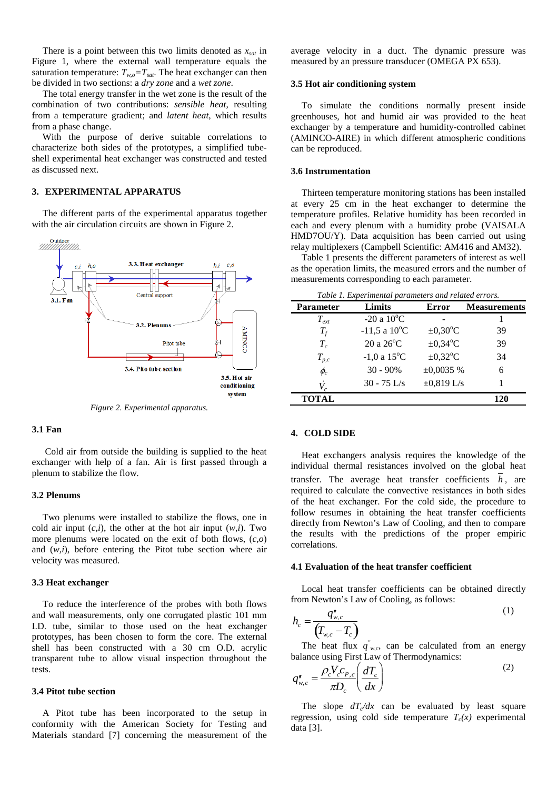There is a point between this two limits denoted as  $x_{sat}$  in [Figure 1,](#page-0-0) where the external wall temperature equals the saturation temperature:  $T_{wo}=T_{sat}$ . The heat exchanger can then be divided in two sections: a *dry zone* and a *wet zone*.

The total energy transfer in the wet zone is the result of the combination of two contributions: *sensible heat*, resulting from a temperature gradient; and *latent heat*, which results from a phase change.

With the purpose of derive suitable correlations to characterize both sides of the prototypes, a simplified tubeshell experimental heat exchanger was constructed and tested as discussed next.

## **3. EXPERIMENTAL APPARATUS**

The different parts of the experimental apparatus together with the air circulation circuits are shown in [Figure 2.](#page-1-0)



*Figure 2. Experimental apparatus.*

## <span id="page-1-0"></span>**3.1 Fan**

Cold air from outside the building is supplied to the heat exchanger with help of a fan. Air is first passed through a plenum to stabilize the flow.

## **3.2 Plenums**

Two plenums were installed to stabilize the flows, one in cold air input  $(c,i)$ , the other at the hot air input  $(w,i)$ . Two more plenums were located on the exit of both flows, (*c,o*) and (*w,i*), before entering the Pitot tube section where air velocity was measured.

#### **3.3 Heat exchanger**

To reduce the interference of the probes with both flows and wall measurements, only one corrugated plastic 101 mm I.D. tube, similar to those used on the heat exchanger prototypes, has been chosen to form the core. The external shell has been constructed with a 30 cm O.D. acrylic transparent tube to allow visual inspection throughout the tests.

## **3.4 Pitot tube section**

A Pitot tube has been incorporated to the setup in conformity with the American Society for Testing and Materials standard [\[7\]](#page-5-1) concerning the measurement of the average velocity in a duct. The dynamic pressure was measured by an pressure transducer (OMEGA PX 653).

#### **3.5 Hot air conditioning system**

To simulate the conditions normally present inside greenhouses, hot and humid air was provided to the heat exchanger by a temperature and humidity-controlled cabinet (AMINCO-AIRE) in which different atmospheric conditions can be reproduced.

### **3.6 Instrumentation**

Thirteen temperature monitoring stations has been installed at every 25 cm in the heat exchanger to determine the temperature profiles. Relative humidity has been recorded in each and every plenum with a humidity probe (VAISALA HMD7OU/Y). Data acquisition has been carried out using relay multiplexers (Campbell Scientific: AM416 and AM32).

[Table 1](#page-1-1) presents the different parameters of interest as well as the operation limits, the measured errors and the number of measurements corresponding to each parameter.

<span id="page-1-1"></span>

| Table 1. Experimental parameters and related errors. |                          |                      |                     |  |
|------------------------------------------------------|--------------------------|----------------------|---------------------|--|
| <b>Parameter</b>                                     | Limits                   | <b>Error</b>         | <b>Measurements</b> |  |
| $T_{ext}$                                            | -20 a $10^{\circ}$ C     |                      |                     |  |
| $T_f$                                                | $-11,5$ a $10^{\circ}$ C | $\pm 0.30^{\circ}$ C | 39                  |  |
| $T_c$                                                | $20a26^{\circ}C$         | $\pm 0.34$ °C        | 39                  |  |
| $T_{p,c}$                                            | $-1,0$ a $15^{\circ}$ C  | $\pm 0.32$ °C        | 34                  |  |
| $\phi_c$                                             | $30 - 90\%$              | $\pm 0,0035$ %       | 6                   |  |
|                                                      | $30 - 75$ L/s            | $\pm 0.819$ L/s      |                     |  |
| <b>TOTAL</b>                                         |                          |                      | 120                 |  |

#### **4. COLD SIDE**

Heat exchangers analysis requires the knowledge of the individual thermal resistances involved on the global heat transfer. The average heat transfer coefficients *h*, are required to calculate the convective resistances in both sides of the heat exchanger. For the cold side, the procedure to follow resumes in obtaining the heat transfer coefficients directly from Newton's Law of Cooling, and then to compare the results with the predictions of the proper empiric correlations.

#### **4.1 Evaluation of the heat transfer coefficient**

Local heat transfer coefficients can be obtained directly from Newton's Law of Cooling, as follows:

<span id="page-1-2"></span>
$$
h_c = \frac{q_{w,c}^{\prime\prime}}{\left(T_{w,c} - T_c\right)}\tag{1}
$$

The heat flux  $q''_{w,c}$ , can be calculated from an energy balance using First Law of Thermodynamics:

$$
q_{w,c}'' = \frac{\rho_c V_c c_{P,c}}{\pi D_c} \left(\frac{dT_c}{dx}\right)
$$
 (2)

The slope  $dT<sub>c</sub>/dx$  can be evaluated by least square regression, using cold side temperature  $T_c(x)$  experimental data [\[3\].](#page-5-2)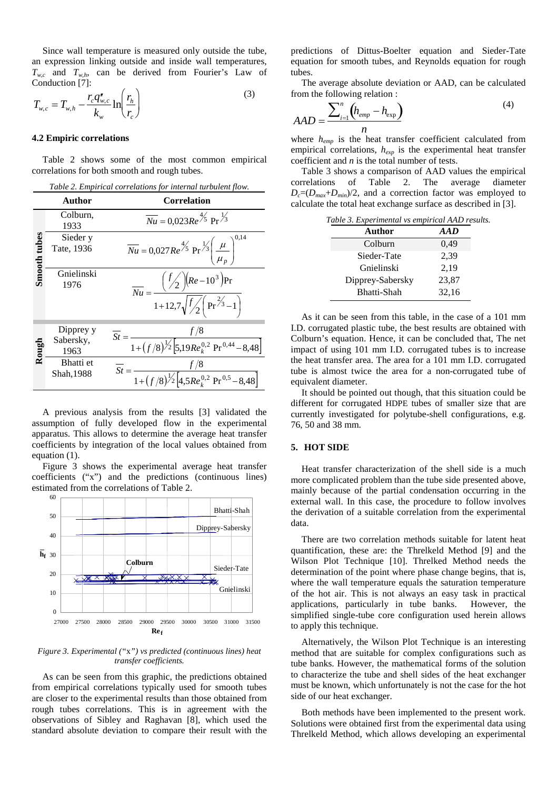Since wall temperature is measured only outside the tube, an expression linking outside and inside wall temperatures,  $T_{w,c}$  and  $T_{w,h}$ , can be derived from Fourier's Law of Conduction [\[7\]:](#page-5-1)

$$
T_{w,c} = T_{w,h} - \frac{r_c q_{w,c}''}{k_w} \ln \left( \frac{r_h}{r_c} \right)
$$
 (3)

#### **4.2 Empiric correlations**

[Table 2](#page-2-0) shows some of the most common empirical correlations for both smooth and rough tubes. *Table 2. Empirical correlations for internal turbulent flow.* 

<span id="page-2-0"></span>

| Tuble 2. Employee correlations for internation catenary flow. |                                |                                                                                                                                                                   |  |  |  |
|---------------------------------------------------------------|--------------------------------|-------------------------------------------------------------------------------------------------------------------------------------------------------------------|--|--|--|
|                                                               | <b>Author</b>                  | <b>Correlation</b>                                                                                                                                                |  |  |  |
|                                                               | Colburn,<br>1933               | $\overline{Nu} = 0.023Re^{\frac{4}{5}} Pr^{\frac{1}{3}}$                                                                                                          |  |  |  |
| Smooth tubes                                                  | Sieder y<br>Tate, 1936         | $\overline{Nu} = 0.027 Re^{4/5} Pr^{1/3} \left( \frac{\mu}{\mu_n} \right)^5$                                                                                      |  |  |  |
|                                                               | Gnielinski<br>1976             | $\frac{{\left( {\frac{{{f'_2}}}{{\left( {{Re{ - 10}^3}} \right)}Pr} }}{{1 + 12,7\sqrt {\frac{{{f'_2}}}{{\left( {Pr}^{23} - 1} \right)}}} }}$<br>$\overline{Nu}$ = |  |  |  |
| Rough                                                         | Dipprey y<br>Sabersky,<br>1963 | f/8<br>$St = -$<br>$\frac{J}{1+(f/8)^{1/2}}\left[5,19Re_k^{0,2} \Pr^{0,44}-8,48\right]$                                                                           |  |  |  |
|                                                               | Bhatti et<br>Shah, 1988        | $St =$<br>$\frac{1 + (f/8)^{\frac{1}{2}}}{1 + (1/8)^{\frac{1}{2}}}\left[4,5Re_k^{0,2} \Pr^{0,5} - 8,48\right]$                                                    |  |  |  |

A previous analysis from the results [\[3\]](#page-5-2) validated the assumption of fully developed flow in the experimental apparatus. This allows to determine the average heat transfer coefficients by integration of the local values obtained from equation [\(1\).](#page-1-2)

[Figure 3](#page-2-1) shows the experimental average heat transfer coefficients ("x") and the predictions (continuous lines) estimated from the correlations of [Table 2.](#page-2-0)



<span id="page-2-1"></span>*Figure 3. Experimental ("*x*") vs predicted (continuous lines) heat transfer coefficients.*

As can be seen from this graphic, the predictions obtained from empirical correlations typically used for smooth tubes are closer to the experimental results than those obtained from rough tubes correlations. This is in agreement with the observations of Sibley and Raghavan [\[8\],](#page-5-3) which used the standard absolute deviation to compare their result with the predictions of Dittus-Boelter equation and Sieder-Tate equation for smooth tubes, and Reynolds equation for rough tubes.

The average absolute deviation or AAD, can be calculated from the following relation :

$$
AAD = \frac{\sum_{i=1}^{n} (h_{emp} - h_{exp})}{n}
$$
\n<sup>(4)</sup>

where *hemp* is the heat transfer coefficient calculated from empirical correlations, *hexp* is the experimental heat transfer coefficient and *n* is the total number of tests.

[Table 3](#page-2-2) shows a comparison of AAD values the empirical correlations of [Table 2.](#page-2-0) The average diameter  $D_c=(D_{max}+D_{min})/2$ , and a correction factor was employed to calculate the total heat exchange surface as described in [\[3\].](#page-5-2)

<span id="page-2-2"></span>

| Table 3. Experimental vs empirical AAD results. |       |  |  |  |
|-------------------------------------------------|-------|--|--|--|
| Author                                          | AAD   |  |  |  |
| Colburn                                         | 0.49  |  |  |  |
| Sieder-Tate                                     | 2.39  |  |  |  |
| Gnielinski                                      | 2,19  |  |  |  |
| Dipprey-Sabersky                                | 23,87 |  |  |  |
| Bhatti-Shah                                     | 32,16 |  |  |  |

As it can be seen from this table, in the case of a 101 mm I.D. corrugated plastic tube, the best results are obtained with Colburn's equation. Hence, it can be concluded that, The net impact of using 101 mm I.D. corrugated tubes is to increase the heat transfer area. The area for a 101 mm I.D. corrugated tube is almost twice the area for a non-corrugated tube of equivalent diameter.

It should be pointed out though, that this situation could be different for corrugated HDPE tubes of smaller size that are currently investigated for polytube-shell configurations, e.g. 76, 50 and 38 mm.

## **5. HOT SIDE**

Heat transfer characterization of the shell side is a much more complicated problem than the tube side presented above, mainly because of the partial condensation occurring in the external wall. In this case, the procedure to follow involves the derivation of a suitable correlation from the experimental data.

There are two correlation methods suitable for latent heat quantification, these are: the Threlkeld Method [\[9\]](#page-5-4) and the Wilson Plot Technique [\[10\].](#page-5-5) Threlked Method needs the determination of the point where phase change begins, that is, where the wall temperature equals the saturation temperature of the hot air. This is not always an easy task in practical applications, particularly in tube banks. However, the simplified single-tube core configuration used herein allows to apply this technique.

Alternatively, the Wilson Plot Technique is an interesting method that are suitable for complex configurations such as tube banks. However, the mathematical forms of the solution to characterize the tube and shell sides of the heat exchanger must be known, which unfortunately is not the case for the hot side of our heat exchanger.

Both methods have been implemented to the present work. Solutions were obtained first from the experimental data using Threlkeld Method, which allows developing an experimental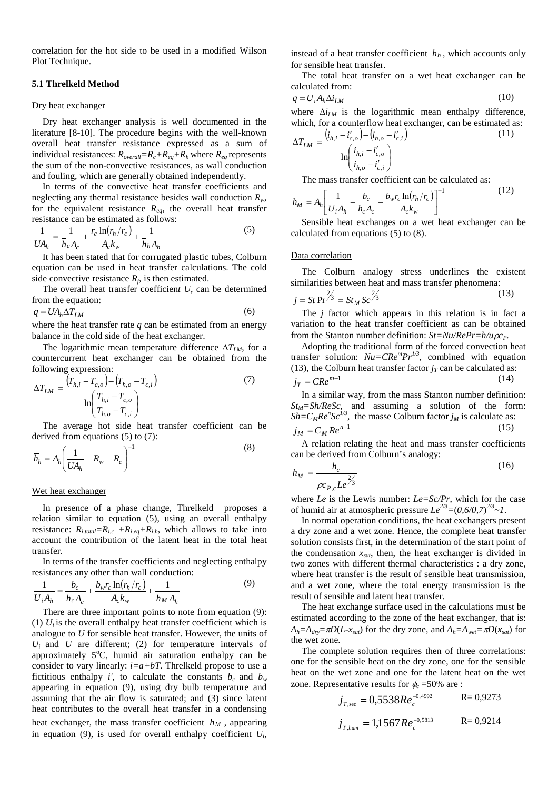correlation for the hot side to be used in a modified Wilson Plot Technique.

## **5.1 Threlkeld Method**

#### Dry heat exchanger

Dry heat exchanger analysis is well documented in the literature [8-10]. The procedure begins with the well-known overall heat transfer resistance expressed as a sum of individual resistances:  $R_{overall} = R_c + R_{eq} + R_h$  where  $R_{eq}$  represents the sum of the non-convective resistances, as wall conduction and fouling, which are generally obtained independently.

In terms of the convective heat transfer coefficients and neglecting any thermal resistance besides wall conduction *Rw*, for the equivalent resistance  $R_{eq}$ , the overall heat transfer resistance can be estimated as follows:

$$
\frac{1}{UA_h} = \frac{1}{\overline{h}_c A_c} + \frac{r_c \ln(r_h/r_c)}{A_c k_w} + \frac{1}{\overline{h}_h A_h}
$$
(5)

It has been stated that for corrugated plastic tubes, Colburn equation can be used in heat transfer calculations. The cold side convective resistance  $R_f$ , is then estimated.

The overall heat transfer coefficien*t U*, can be determined from the equation:

$$
q = UA_h \Delta T_{LM} \tag{6}
$$

where the heat transfer rate *q* can be estimated from an energy balance in the cold side of the heat exchanger.

Τhe logarithmic mean temperature difference ∆*TLM*, for a countercurrent heat exchanger can be obtained from the following expression:

$$
\Delta T_{LM} = \frac{(T_{h,i} - T_{c,o}) - (T_{h,o} - T_{c,i})}{\ln\left(\frac{T_{h,i} - T_{c,o}}{T_{h,o} - T_{c,i}}\right)}
$$
(7)

The average hot side heat transfer coefficient can be derived from equations [\(5\)](#page-3-0) t[o \(7\):](#page-3-1)

$$
\overline{h}_h = A_h \left( \frac{1}{U A_h} - R_w - R_c \right)^{-1} \tag{8}
$$

### Wet heat exchanger

In presence of a phase change, Threlkeld proposes a relation similar to equation [\(5\),](#page-3-0) using an overall enthalpy resistance:  $R_{i,total}=R_{i,c} + R_{i,eq} + R_{i,h}$ , which allows to take into account the contribution of the latent heat in the total heat transfer.

In terms of the transfer coefficients and neglecting enthalpy resistances any other than wall conduction:

$$
\frac{1}{U_i A_h} = \frac{b_c}{\bar{h}_c A_c} + \frac{b_w r_c \ln(r_h/r_c)}{A_c k_w} + \frac{1}{\bar{h}_M A_h}
$$
(9)

There are three important points to note from equation [\(9\):](#page-3-2) (1)  $U_i$  is the overall enthalpy heat transfer coefficient which is analogue to *U* for sensible heat transfer. However, the units of  $U_i$  and  $U$  are different; (2) for temperature intervals of approximately 5°C, humid air saturation enthalpy can be consider to vary linearly:  $i=a+bT$ . Threlkeld propose to use a fictitious enthalpy *i'*, to calculate the constants  $b_c$  and  $b_w$ appearing in equation [\(9\),](#page-3-2) using dry bulb temperature and assuming that the air flow is saturated; and (3) since latent heat contributes to the overall heat transfer in a condensing heat exchanger, the mass transfer coefficient  $h_M$ , appearing in equation [\(9\),](#page-3-2) is used for overall enthalpy coefficient *Ui*,

instead of a heat transfer coefficient  $\overline{h}_h$ , which accounts only for sensible heat transfer.

The total heat transfer on a wet heat exchanger can be calculated from:

$$
q = U_i A_h \Delta i_{LM} \tag{10}
$$

where  $\Delta i$ <sub>LM</sub> is the logarithmic mean enthalpy difference, which, for a counterflow heat exchanger, can be estimated as:

$$
\Delta T_{LM} = \frac{(i_{h,i} - i'_{c,o}) - (i_{h,o} - i'_{c,i})}{\ln\left(\frac{i_{h,i} - i'_{c,o}}{i_{h,o} - i'_{c,i}}\right)}
$$
(11)

The mass transfer coefficient can be calculated as:

$$
\overline{h}_M = A_h \left[ \frac{1}{U_i A_h} - \frac{b_c}{\overline{h}_c A_c} - \frac{b_w r_c \ln(r_h/r_c)}{A_c k_w} \right]^{-1}
$$
(12)

<span id="page-3-0"></span>Sensible heat exchanges on a wet heat exchanger can be calculated from equations [\(5\)](#page-3-0) to [\(8\).](#page-3-3)

#### Data correlation

The Colburn analogy stress underlines the existent similarities between heat and mass transfer phenomena:

<span id="page-3-4"></span>
$$
j = St \Pr^{2/3} = St_M Sc^{2/3}
$$
 (13)

The *j* factor which appears in this relation is in fact a variation to the heat transfer coefficient as can be obtained from the Stanton number definition:  $St = Nu/RePr = h/u\rho c_P$ .

Adopting the traditional form of the forced convection heat transfer solution:  $Nu = CRe^{m}Pr^{1/3}$ , combined with equation [\(13\),](#page-3-4) the Colburn heat transfer factor  $j_T$  can be calculated as:  $j_T = CRe^{m-1}$  (14)

<span id="page-3-1"></span>In a similar way, from the mass Stanton number definition:  $St_M = Sh/ReSc$ , and assuming a solution of the form:  $Sh = C_M Re^n Sc^{1/3}$ , the masse Colburn factor  $j_M$  is calculate as:  $j_M = C_M Re^{n-1}$  (15)

<span id="page-3-3"></span>A relation relating the heat and mass transfer coefficients can be derived from Colburn's analogy:

$$
h_M = \frac{h_c}{\rho c_{P,c} L e^{\frac{2}{3}}}
$$
 (16)

where *Le* is the Lewis number: *Le=Sc/Pr*, which for the case of humid air at atmospheric pressure  $Le^{2/3} = (0.6/0.7)^{2/3} \sim 1$ .

In normal operation conditions, the heat exchangers present a dry zone and a wet zone. Hence, the complete heat transfer solution consists first, in the determination of the start point of the condensation *xsat*, then, the heat exchanger is divided in two zones with different thermal characteristics : a dry zone, where heat transfer is the result of sensible heat transmission, and a wet zone, where the total energy transmission is the result of sensible and latent heat transfer.

<span id="page-3-2"></span>The heat exchange surface used in the calculations must be estimated according to the zone of the heat exchanger, that is:  $A_h = A_{dry} = \pi D(L-x_{sat})$  for the dry zone, and  $A_h = A_{wet} = \pi D(x_{sat})$  for the wet zone.

The complete solution requires then of three correlations: one for the sensible heat on the dry zone, one for the sensible heat on the wet zone and one for the latent heat on the wet zone. Representative results for  $\phi_c = 50\%$  are :

$$
j_{T,\text{sec}} = 0.5538Re_c^{-0.4992}
$$
 R= 0.9273

$$
j_{T, \text{hum}} = 1,1567 Re_c^{-0.5813}
$$
 R= 0,9214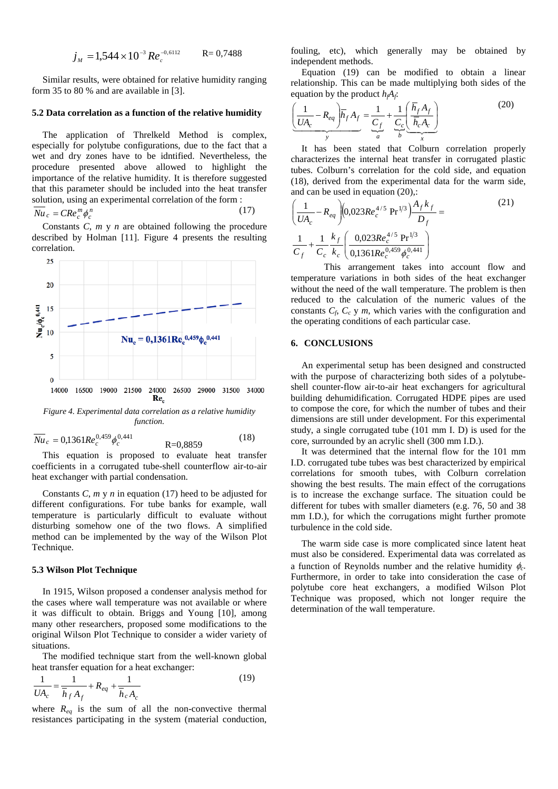$$
j_M = 1,544 \times 10^{-3} Re_c^{-0.6112}
$$
 R= 0,7488

Similar results, were obtained for relative humidity ranging form 35 to 80 % and are available i[n \[3\].](#page-5-2)

### **5.2 Data correlation as a function of the relative humidity**

The application of Threlkeld Method is complex, especially for polytube configurations, due to the fact that a wet and dry zones have to be idntified. Nevertheless, the procedure presented above allowed to highlight the importance of the relative humidity. It is therefore suggested that this parameter should be included into the heat transfer solution, using an experimental correlation of the form :

$$
\overline{Nu}_c = CRe_c^m \phi_c^n \tag{17}
$$

Constants *C*, *m* y *n* are obtained following the procedure described by Holman [\[11\].](#page-5-6) [Figure 4](#page-4-0) presents the resulting correlation.



<span id="page-4-0"></span>*function.*

$$
\overline{Nu}_c = 0,1361 Re_c^{0,459} \phi_c^{0,441} \qquad R=0,8859 \qquad (18)
$$

This equation is proposed to evaluate heat transfer coefficients in a corrugated tube-shell counterflow air-to-air heat exchanger with partial condensation.

Constants *C*, *m* y *n* in equation [\(17\)](#page-4-1) heed to be adjusted for different configurations. For tube banks for example, wall temperature is particularly difficult to evaluate without disturbing somehow one of the two flows. A simplified method can be implemented by the way of the Wilson Plot Technique.

#### **5.3 Wilson Plot Technique**

In 1915, Wilson proposed a condenser analysis method for the cases where wall temperature was not available or where it was difficult to obtain. Briggs and Young [\[10\],](#page-5-5) among many other researchers, proposed some modifications to the original Wilson Plot Technique to consider a wider variety of situations.

The modified technique start from the well-known global heat transfer equation for a heat exchanger:

$$
\frac{1}{UA_c} = \frac{1}{\overline{h}_f A_f} + R_{eq} + \frac{1}{\overline{h}_c A_c}
$$
(19)

where  $R_{eq}$  is the sum of all the non-convective thermal resistances participating in the system (material conduction, fouling, etc), which generally may be obtained by independent methods.

Equation [\(19\)](#page-4-2) can be modified to obtain a linear relationship. This can be made multiplying both sides of the equation by the product  $h_iA_i$ :

<span id="page-4-4"></span>
$$
\underbrace{\left(\frac{1}{UA_c} - R_{eq}\right)}_{y} \overrightarrow{h}_f A_f = \underbrace{\frac{1}{C_f}}_{a} + \underbrace{\frac{1}{C_c} \left(\frac{\overrightarrow{h}_f A_f}{\overrightarrow{h}_c A_c}\right)}_{x}
$$
(20)

It has been stated that Colburn correlation properly characterizes the internal heat transfer in corrugated plastic tubes. Colburn's correlation for the cold side, and equation [\(18\),](#page-4-3) derived from the experimental data for the warm side, and can be used in equation [\(20\),](#page-4-4):

<span id="page-4-1"></span>
$$
\left(\frac{1}{UA_c} - R_{eq}\right) \left(0.023Re_c^{4/5} \Pr^{1/3}\right) \frac{A_f k_f}{D_f} =
$$
\n
$$
\frac{1}{C_f} + \frac{1}{C_c} \frac{k_f}{k_c} \left(\frac{0.023Re_c^{4/5} \Pr^{1/3}}{0.1361Re_c^{0.459} \phi_c^{0.441}}\right)
$$
\n(21)

This arrangement takes into account flow and temperature variations in both sides of the heat exchanger without the need of the wall temperature. The problem is then reduced to the calculation of the numeric values of the constants  $C_f$ ,  $C_c$  y  $m$ , which varies with the configuration and the operating conditions of each particular case.

### **6. CONCLUSIONS**

An experimental setup has been designed and constructed with the purpose of characterizing both sides of a polytubeshell counter-flow air-to-air heat exchangers for agricultural building dehumidification. Corrugated HDPE pipes are used to compose the core, for which the number of tubes and their dimensions are still under development. For this experimental study, a single corrugated tube (101 mm I. D) is used for the core, surrounded by an acrylic shell (300 mm I.D.).

<span id="page-4-3"></span>It was determined that the internal flow for the 101 mm I.D. corrugated tube tubes was best characterized by empirical correlations for smooth tubes, with Colburn correlation showing the best results. The main effect of the corrugations is to increase the exchange surface. The situation could be different for tubes with smaller diameters (e.g. 76, 50 and 38 mm I.D.), for which the corrugations might further promote turbulence in the cold side.

<span id="page-4-2"></span>The warm side case is more complicated since latent heat must also be considered. Experimental data was correlated as a function of Reynolds number and the relative humidity φ*c*. Furthermore, in order to take into consideration the case of polytube core heat exchangers, a modified Wilson Plot Technique was proposed, which not longer require the determination of the wall temperature.